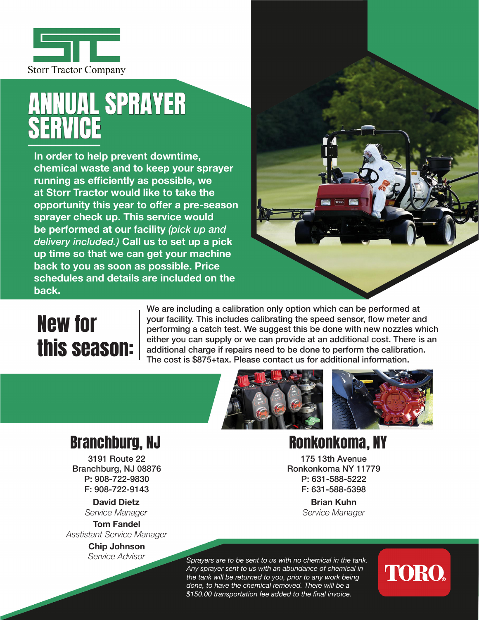

## ANNUAL SPRAYER SERVICE

**In order to help prevent downtime, chemical waste and to keep your sprayer running as efficiently as possible, we at Storr Tractor would like to take the opportunity this year to offer a pre-season sprayer check up. This service would be performed at our facility** *(pick up and delivery included.)* **Call us to set up a pick up time so that we can get your machine back to you as soon as possible. Price schedules and details are included on the back.**

### New for this season:

We are including a calibration only option which can be performed at your facility. This includes calibrating the speed sensor, flow meter and performing a catch test. We suggest this be done with new nozzles which either you can supply or we can provide at an additional cost. There is an additional charge if repairs need to be done to perform the calibration. The cost is \$875+tax. Please contact us for additional information.



#### Branchburg, NJ Ronkonkoma, NY

3191 Route 22 Branchburg, NJ 08876 P: 908-722-9830 F: 908-722-9143

> **David Dietz** *Service Manager*

**Tom Fandel** *Asstistant Service Manager*

> **Chip Johnson** *Service Advisor*

175 13th Avenue Ronkonkoma NY 11779 P: 631-588-5222 F: 631-588-5398

> **Brian Kuhn** *Service Manager*

*Sprayers are to be sent to us with no chemical in the tank. Any sprayer sent to us with an abundance of chemical in the tank will be returned to you, prior to any work being done, to have the chemical removed. There will be a \$150.00 transportation fee added to the final invoice.*